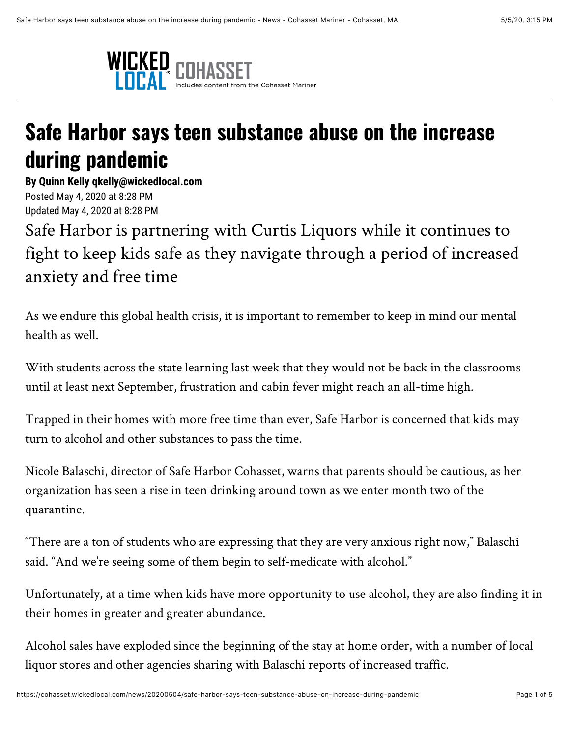

## **Safe Harbor says teen substance abuse on the increase during pandemic**

**By Quinn Kelly qkelly@wickedlocal.com** Posted May 4, 2020 at 8:28 PM Updated May 4, 2020 at 8:28 PM

Safe Harbor is partnering with Curtis Liquors while it continues to fight to keep kids safe as they navigate through a period of increased anxiety and free time

As we endure this global health crisis, it is important to remember to keep in mind our mental health as well.

With students across the state learning last week that they would not be back in the classrooms until at least next September, frustration and cabin fever might reach an all-time high.

Trapped in their homes with more free time than ever, Safe Harbor is concerned that kids may turn to alcohol and other substances to pass the time.

Nicole Balaschi, director of Safe Harbor Cohasset, warns that parents should be cautious, as her organization has seen a rise in teen drinking around town as we enter month two of the quarantine.

"There are a ton of students who are expressing that they are very anxious right now," Balaschi said. "And we're seeing some of them begin to self-medicate with alcohol."

Unfortunately, at a time when kids have more opportunity to use alcohol, they are also finding it in their homes in greater and greater abundance.

Alcohol sales have exploded since the beginning of the stay at home order, with a number of local liquor stores and other agencies sharing with Balaschi reports of increased traffic.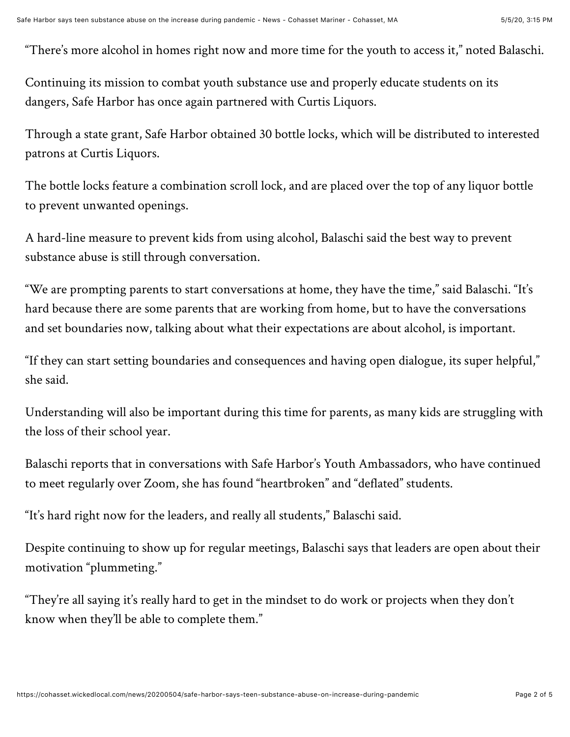"There's more alcohol in homes right now and more time for the youth to access it," noted Balaschi.

Continuing its mission to combat youth substance use and properly educate students on its dangers, Safe Harbor has once again partnered with Curtis Liquors.

Through a state grant, Safe Harbor obtained 30 bottle locks, which will be distributed to interested patrons at Curtis Liquors.

The bottle locks feature a combination scroll lock, and are placed over the top of any liquor bottle to prevent unwanted openings.

A hard-line measure to prevent kids from using alcohol, Balaschi said the best way to prevent substance abuse is still through conversation.

"We are prompting parents to start conversations at home, they have the time," said Balaschi. "It's hard because there are some parents that are working from home, but to have the conversations and set boundaries now, talking about what their expectations are about alcohol, is important.

"If they can start setting boundaries and consequences and having open dialogue, its super helpful," she said.

Understanding will also be important during this time for parents, as many kids are struggling with the loss of their school year.

Balaschi reports that in conversations with Safe Harbor's Youth Ambassadors, who have continued to meet regularly over Zoom, she has found "heartbroken" and "deflated" students.

"It's hard right now for the leaders, and really all students," Balaschi said.

Despite continuing to show up for regular meetings, Balaschi says that leaders are open about their motivation "plummeting."

"They're all saying it's really hard to get in the mindset to do work or projects when they don't know when they'll be able to complete them."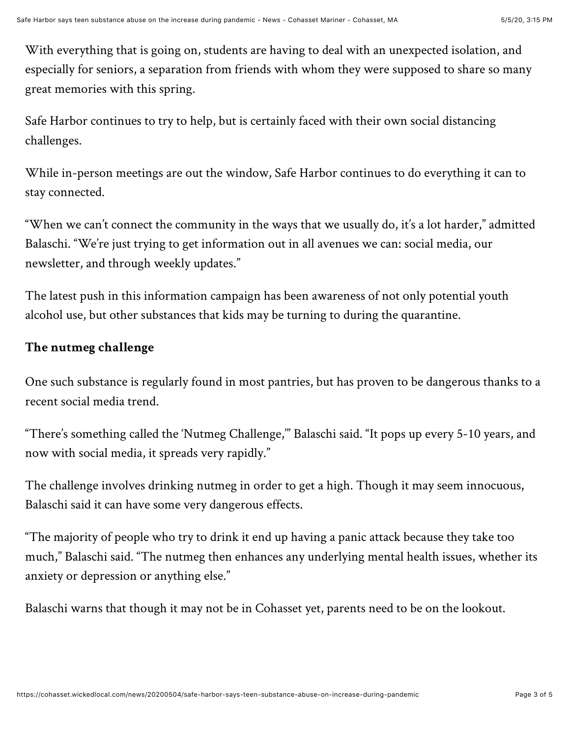With everything that is going on, students are having to deal with an unexpected isolation, and especially for seniors, a separation from friends with whom they were supposed to share so many great memories with this spring.

Safe Harbor continues to try to help, but is certainly faced with their own social distancing challenges.

While in-person meetings are out the window, Safe Harbor continues to do everything it can to stay connected.

"When we can't connect the community in the ways that we usually do, it's a lot harder," admitted Balaschi. "We're just trying to get information out in all avenues we can: social media, our newsletter, and through weekly updates."

The latest push in this information campaign has been awareness of not only potential youth alcohol use, but other substances that kids may be turning to during the quarantine.

## **The nutmeg challenge**

One such substance is regularly found in most pantries, but has proven to be dangerous thanks to a recent social media trend.

"There's something called the 'Nutmeg Challenge,'" Balaschi said. "It pops up every 5-10 years, and now with social media, it spreads very rapidly."

The challenge involves drinking nutmeg in order to get a high. Though it may seem innocuous, Balaschi said it can have some very dangerous effects.

"The majority of people who try to drink it end up having a panic attack because they take too much," Balaschi said. "The nutmeg then enhances any underlying mental health issues, whether its anxiety or depression or anything else."

Balaschi warns that though it may not be in Cohasset yet, parents need to be on the lookout.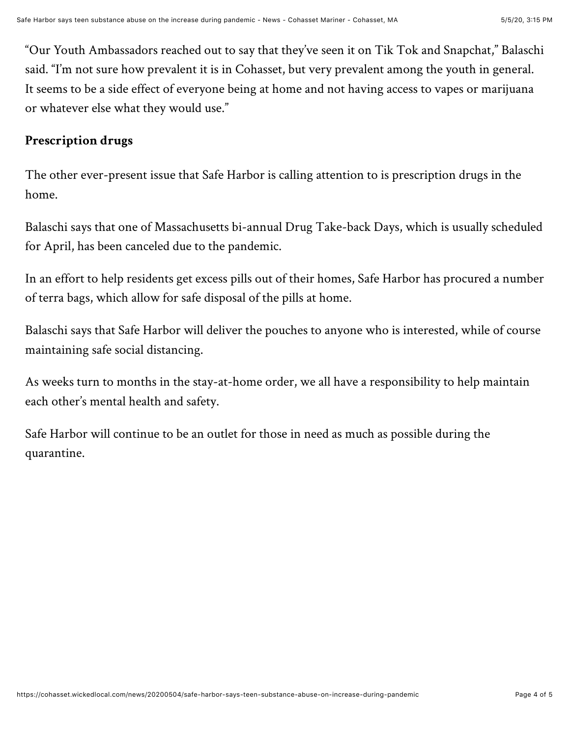"Our Youth Ambassadors reached out to say that they've seen it on Tik Tok and Snapchat," Balaschi said. "I'm not sure how prevalent it is in Cohasset, but very prevalent among the youth in general. It seems to be a side effect of everyone being at home and not having access to vapes or marijuana or whatever else what they would use."

## **Prescription drugs**

The other ever-present issue that Safe Harbor is calling attention to is prescription drugs in the home.

Balaschi says that one of Massachusetts bi-annual Drug Take-back Days, which is usually scheduled for April, has been canceled due to the pandemic.

In an effort to help residents get excess pills out of their homes, Safe Harbor has procured a number of terra bags, which allow for safe disposal of the pills at home.

Balaschi says that Safe Harbor will deliver the pouches to anyone who is interested, while of course maintaining safe social distancing.

As weeks turn to months in the stay-at-home order, we all have a responsibility to help maintain each other's mental health and safety.

Safe Harbor will continue to be an outlet for those in need as much as possible during the quarantine.